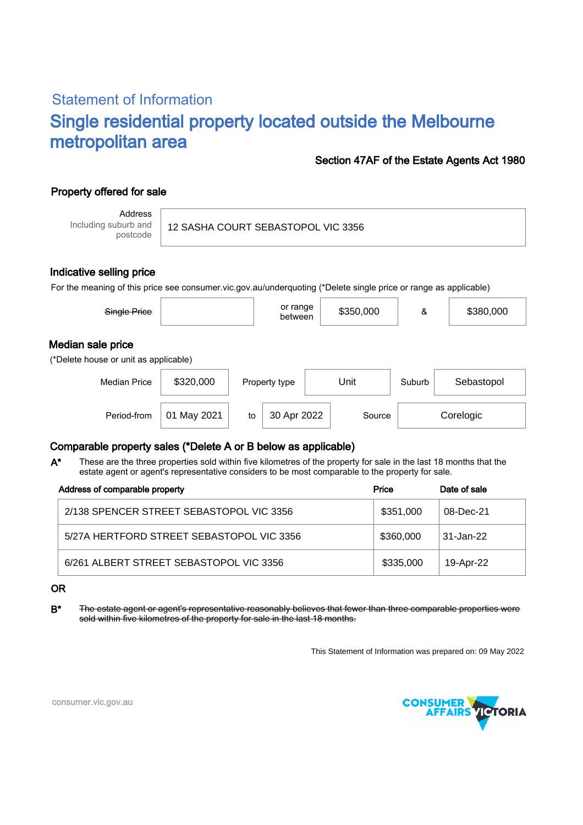# Statement of Information Single residential property located outside the Melbourne metropolitan area

### Section 47AF of the Estate Agents Act 1980

# Property offered for sale

Address Including suburb and postcode

12 SASHA COURT SEBASTOPOL VIC 3356

### Indicative selling price

For the meaning of this price see consumer.vic.gov.au/underquoting (\*Delete single price or range as applicable)

| Single Price                                               |             |    | or range<br>between |      | \$350,000 | &      | \$380,000  |  |
|------------------------------------------------------------|-------------|----|---------------------|------|-----------|--------|------------|--|
| Median sale price<br>(*Delete house or unit as applicable) |             |    |                     |      |           |        |            |  |
| <b>Median Price</b>                                        | \$320,000   |    | Property type       | Unit |           | Suburb | Sebastopol |  |
| Period-from                                                | 01 May 2021 | to | 30 Apr 2022         |      | Source    |        | Corelogic  |  |

## Comparable property sales (\*Delete A or B below as applicable)

These are the three properties sold within five kilometres of the property for sale in the last 18 months that the estate agent or agent's representative considers to be most comparable to the property for sale. A\*

| Address of comparable property            | Price     | Date of sale |  |
|-------------------------------------------|-----------|--------------|--|
| 2/138 SPENCER STREET SEBASTOPOL VIC 3356  | \$351,000 | $08$ -Dec-21 |  |
| 5/27A HERTFORD STREET SEBASTOPOL VIC 3356 | \$360,000 | 31-Jan-22    |  |
| 6/261 ALBERT STREET SEBASTOPOL VIC 3356   | \$335,000 | 19-Apr-22    |  |

#### OR

B\* The estate agent or agent's representative reasonably believes that fewer than three comparable properties were sold within five kilometres of the property for sale in the last 18 months.

This Statement of Information was prepared on: 09 May 2022



consumer.vic.gov.au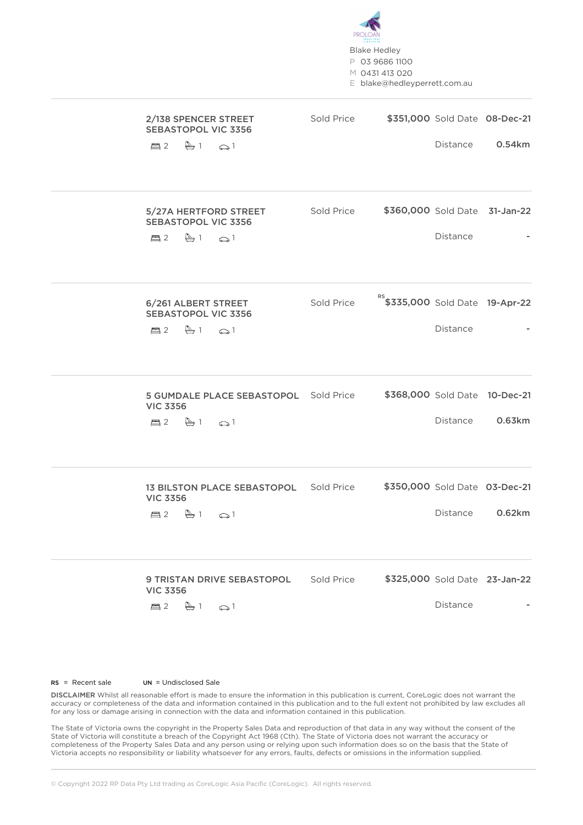|                                                                                                                                                    | <b>PROLOAN</b> | <b>Blake Hedley</b><br>P 03 9686 1100<br>M 0431 413 020<br>E blake@hedleyperrett.com.au |                                           |               |
|----------------------------------------------------------------------------------------------------------------------------------------------------|----------------|-----------------------------------------------------------------------------------------|-------------------------------------------|---------------|
| 2/138 SPENCER STREET<br><b>SEBASTOPOL VIC 3356</b><br>$\Xi$ 2 $\Xi$ 1 $\Xi$ 1                                                                      | Sold Price     |                                                                                         | \$351,000 Sold Date 08-Dec-21<br>Distance | 0.54km        |
| 5/27A HERTFORD STREET<br><b>SEBASTOPOL VIC 3356</b><br>$\Xi$ 2 $\Xi$ 1 $\Xi$ 1                                                                     | Sold Price     | \$360,000 Sold Date 31-Jan-22                                                           | Distance                                  |               |
| 6/261 ALBERT STREET<br><b>SEBASTOPOL VIC 3356</b><br>$\stackrel{a}{\Longrightarrow} 1 \qquad \stackrel{a}{\Longrightarrow} 1$<br>$\Xi$ 2           | Sold Price     | RS \$335,000 Sold Date 19-Apr-22                                                        | Distance                                  |               |
| 5 GUMDALE PLACE SEBASTOPOL Sold Price<br><b>VIC 3356</b><br>$\stackrel{a}{\Longrightarrow} 1 \qquad \stackrel{a}{\Longrightarrow} 1$<br>$\equiv$ 2 |                | \$368,000 Sold Date 10-Dec-21                                                           | Distance                                  | 0.63km        |
| 13 BILSTON PLACE SEBASTOPOL Sold Price<br><b>VIC 3356</b><br>$\Xi$ 2 $\Xi$ 1 $\Xi$ 1                                                               |                | \$350,000 Sold Date 03-Dec-21                                                           | Distance                                  | 0.62km        |
| <b>9 TRISTAN DRIVE SEBASTOPOL</b><br><b>VIC 3356</b><br>$\Xi$ 2 $\Xi$ 1 $\Xi$ 1                                                                    | Sold Price     |                                                                                         | \$325,000 Sold Date 23-Jan-22<br>Distance | $\frac{1}{2}$ |

 $RS = Recent sale$   $UN = Undisclosed Sale$ 

DISCLAIMER Whilst all reasonable effort is made to ensure the information in this publication is current, CoreLogic does not warrant the accuracy or completeness of the data and information contained in this publication and to the full extent not prohibited by law excludes all for any loss or damage arising in connection with the data and information contained in this publication.

The State of Victoria owns the copyright in the Property Sales Data and reproduction of that data in any way without the consent of the State of Victoria will constitute a breach of the Copyright Act 1968 (Cth). The State of Victoria does not warrant the accuracy or completeness of the Property Sales Data and any person using or relying upon such information does so on the basis that the State of Victoria accepts no responsibility or liability whatsoever for any errors, faults, defects or omissions in the information supplied.